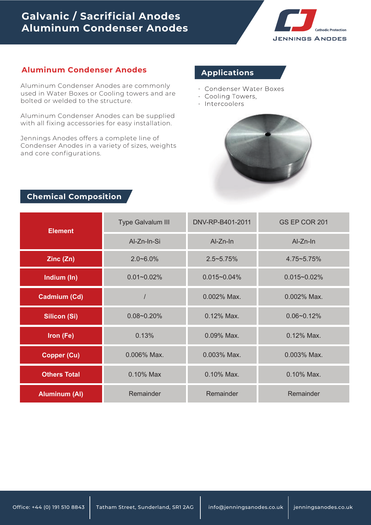# **Galvanic / Sacrificial Anodes Aluminum Condenser Anodes**



#### **Aluminum Condenser Anodes**

Aluminum Condenser Anodes are commonly used in Water Boxes or Cooling towers and are bolted or welded to the structure.

Aluminum Condenser Anodes can be supplied with all fixing accessories for easy installation.

Jennings Anodes offers a complete line of Condenser Anodes in a variety of sizes, weights and core configurations.

### **Applications**

- Condenser Water Boxes •
- Cooling Towers, •
- Intercoolers



## **Chemical Composition**

| <b>Element</b>       | Type Galvalum III | DNV-RP-B401-2011 | GS EP COR 201    |  |
|----------------------|-------------------|------------------|------------------|--|
|                      | Al-Zn-In-Si       | Al-Zn-In         | $Al-Zn-In$       |  |
| Zinc(Zn)             | $2.0 - 6.0\%$     | $2.5 - 5.75%$    | 4.75~5.75%       |  |
| Indium (In)          | $0.01 - 0.02\%$   | $0.015 - 0.04\%$ | $0.015 - 0.02\%$ |  |
| Cadmium (Cd)         |                   | 0.002% Max.      | 0.002% Max.      |  |
| <b>Silicon (Si)</b>  | $0.08 - 0.20%$    | 0.12% Max.       | $0.06 - 0.12%$   |  |
| Iron (Fe)            | 0.13%             | 0.09% Max.       | 0.12% Max.       |  |
| <b>Copper (Cu)</b>   | $0.006\%$ Max.    | 0.003% Max.      | 0.003% Max.      |  |
| <b>Others Total</b>  | 0.10% Max         | 0.10% Max.       | 0.10% Max.       |  |
| <b>Aluminum (Al)</b> | Remainder         | Remainder        | Remainder        |  |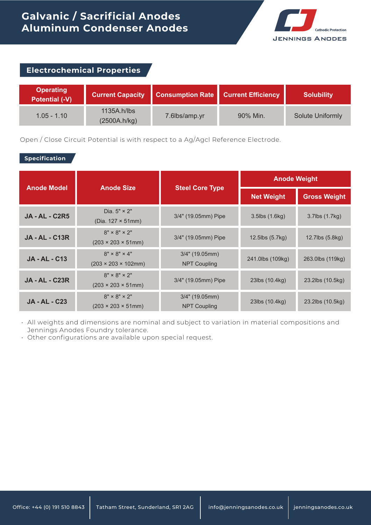

| <b>Electrochemical Properties</b>         |                             |                         |                           |                         |
|-------------------------------------------|-----------------------------|-------------------------|---------------------------|-------------------------|
| <b>Operating</b><br><b>Potential (-V)</b> | <b>Current Capacity</b>     | <b>Consumption Rate</b> | <b>Current Efficiency</b> | <b>Solubility</b>       |
| $1.05 - 1.10$                             | 1135A.h/lbs<br>(2500A.h/kg) | 7.6lbs/amp.yr           | 90% Min.                  | <b>Solute Uniformly</b> |

Open / Close Circuit Potential is with respect to a Ag/Agcl Reference Electrode.

#### **Specification**

| <b>Anode Model</b>    | <b>Anode Size</b>                                            | <b>Steel Core Type</b>                  | <b>Anode Weight</b>     |                     |
|-----------------------|--------------------------------------------------------------|-----------------------------------------|-------------------------|---------------------|
|                       |                                                              |                                         | <b>Net Weight</b>       | <b>Gross Weight</b> |
| <b>JA - AL - C2R5</b> | Dia. $5" \times 2"$<br>(Dia. $127 \times 51$ mm)             | 3/4" (19.05mm) Pipe                     | $3.5$ lbs $(1.6$ kg $)$ | 3.7lbs (1.7kg)      |
| <b>JA - AL - C13R</b> | $8" \times 8" \times 2"$<br>$(203 \times 203 \times 51)$ mm) | 3/4" (19.05mm) Pipe                     | 12.5lbs (5.7kg)         | 12.7lbs (5.8kg)     |
| <b>JA-AL-C13</b>      | $8" \times 8" \times 4"$<br>$(203 \times 203 \times 102$ mm) | $3/4"$ (19.05mm)<br><b>NPT Coupling</b> | 241.0lbs (109kg)        | 263.0lbs (119kg)    |
| <b>JA - AL - C23R</b> | $8" \times 8" \times 2"$<br>$(203 \times 203 \times 51)$ mm) | 3/4" (19.05mm) Pipe                     | 23lbs (10.4kg)          | 23.2lbs (10.5kg)    |
| <b>JA - AL - C23</b>  | $8" \times 8" \times 2"$<br>$(203 \times 203 \times 51)$ mm) | $3/4"$ (19.05mm)<br><b>NPT Coupling</b> | 23lbs (10.4kg)          | 23.2lbs (10.5kg)    |

All weights and dimensions are nominal and subject to variation in material compositions and • Jennings Anodes Foundry tolerance.

Other configurations are available upon special request. •